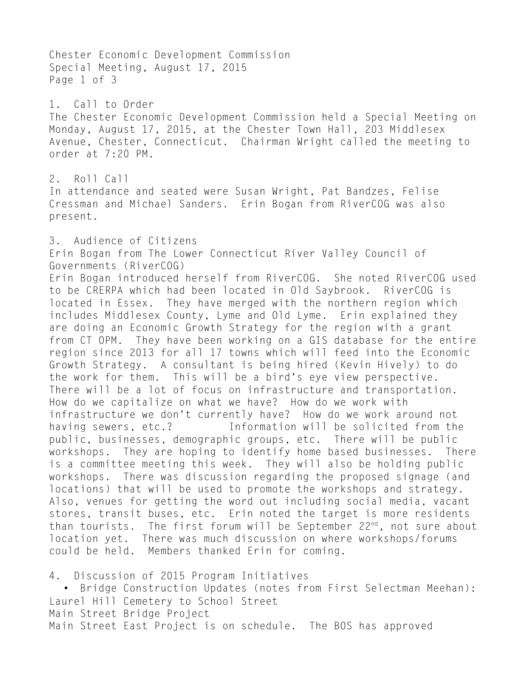Chester Economic Development Commission Special Meeting, August 17, 2015 Page 1 of 3 1. Call to Order The Chester Economic Development Commission held a Special Meeting on Monday, August 17, 2015, at the Chester Town Hall, 203 Middlesex Avenue, Chester, Connecticut. Chairman Wright called the meeting to order at 7:20 PM. 2. Roll Call In attendance and seated were Susan Wright, Pat Bandzes, Felise Cressman and Michael Sanders. Erin Bogan from RiverCOG was also present. 3. Audience of Citizens Erin Bogan from The Lower Connecticut River Valley Council of Governments (RiverCOG) Erin Bogan introduced herself from RiverCOG. She noted RiverCOG used to be CRERPA which had been located in Old Saybrook. RiverCOG is located in Essex. They have merged with the northern region which includes Middlesex County, Lyme and Old Lyme. Erin explained they are doing an Economic Growth Strategy for the region with a grant from CT OPM. They have been working on a GIS database for the entire region since 2013 for all 17 towns which will feed into the Economic Growth Strategy. A consultant is being hired (Kevin Hively) to do the work for them. This will be a bird's eye view perspective. There will be a lot of focus on infrastructure and transportation. How do we capitalize on what we have? How do we work with infrastructure we don't currently have? How do we work around not having sewers, etc.? Information will be solicited from the public, businesses, demographic groups, etc. There will be public workshops. They are hoping to identify home based businesses. There is a committee meeting this week. They will also be holding public workshops. There was discussion regarding the proposed signage (and locations) that will be used to promote the workshops and strategy. Also, venues for getting the word out including social media, vacant stores, transit buses, etc. Erin noted the target is more residents than tourists. The first forum will be September 22<sup>nd</sup>, not sure about location yet. There was much discussion on where workshops/forums could be held. Members thanked Erin for coming.

4. Discussion of 2015 Program Initiatives • Bridge Construction Updates (notes from First Selectman Meehan): Laurel Hill Cemetery to School Street Main Street Bridge Project Main Street East Project is on schedule. The BOS has approved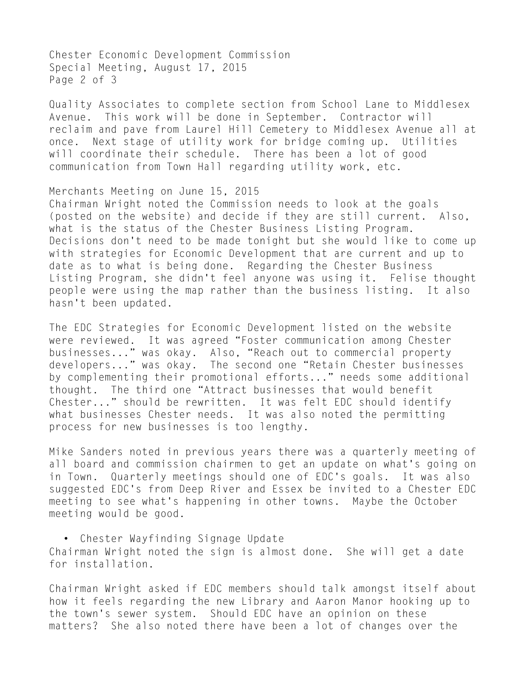Chester Economic Development Commission Special Meeting, August 17, 2015 Page 2 of 3

Quality Associates to complete section from School Lane to Middlesex Avenue. This work will be done in September. Contractor will reclaim and pave from Laurel Hill Cemetery to Middlesex Avenue all at once. Next stage of utility work for bridge coming up. Utilities will coordinate their schedule. There has been a lot of good communication from Town Hall regarding utility work, etc.

Merchants Meeting on June 15, 2015 Chairman Wright noted the Commission needs to look at the goals (posted on the website) and decide if they are still current. Also, what is the status of the Chester Business Listing Program. Decisions don't need to be made tonight but she would like to come up with strategies for Economic Development that are current and up to date as to what is being done. Regarding the Chester Business Listing Program, she didn't feel anyone was using it. Felise thought people were using the map rather than the business listing. It also hasn't been updated.

The EDC Strategies for Economic Development listed on the website were reviewed. It was agreed "Foster communication among Chester businesses..." was okay. Also, "Reach out to commercial property developers..." was okay. The second one "Retain Chester businesses by complementing their promotional efforts..." needs some additional thought. The third one "Attract businesses that would benefit Chester..." should be rewritten. It was felt EDC should identify what businesses Chester needs. It was also noted the permitting process for new businesses is too lengthy.

Mike Sanders noted in previous years there was a quarterly meeting of all board and commission chairmen to get an update on what's going on in Town. Quarterly meetings should one of EDC's goals. It was also suggested EDC's from Deep River and Essex be invited to a Chester EDC meeting to see what's happening in other towns. Maybe the October meeting would be good.

• Chester Wayfinding Signage Update Chairman Wright noted the sign is almost done. She will get a date for installation.

Chairman Wright asked if EDC members should talk amongst itself about how it feels regarding the new Library and Aaron Manor hooking up to the town's sewer system. Should EDC have an opinion on these matters? She also noted there have been a lot of changes over the